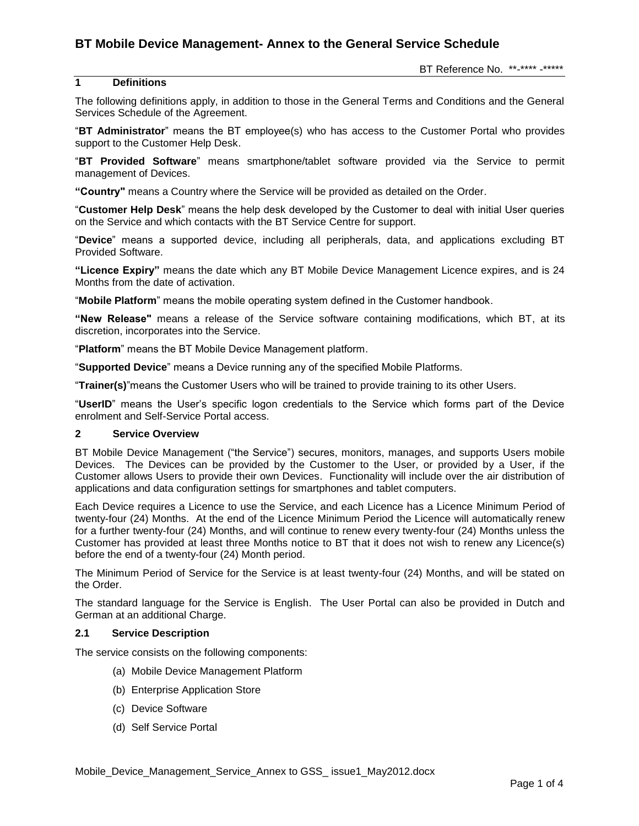# **BT Mobile Device Management- Annex to the General Service Schedule**

# **1 Definitions**

The following definitions apply, in addition to those in the General Terms and Conditions and the General Services Schedule of the Agreement.

"**BT Administrator**" means the BT employee(s) who has access to the Customer Portal who provides support to the Customer Help Desk.

"**BT Provided Software**" means smartphone/tablet software provided via the Service to permit management of Devices.

**"Country"** means a Country where the Service will be provided as detailed on the Order.

"**Customer Help Desk**" means the help desk developed by the Customer to deal with initial User queries on the Service and which contacts with the BT Service Centre for support.

"**Device**" means a supported device, including all peripherals, data, and applications excluding BT Provided Software.

**"Licence Expiry"** means the date which any BT Mobile Device Management Licence expires, and is 24 Months from the date of activation.

"**Mobile Platform**" means the mobile operating system defined in the Customer handbook.

**"New Release"** means a release of the Service software containing modifications, which BT, at its discretion, incorporates into the Service.

"**Platform**" means the BT Mobile Device Management platform.

"**Supported Device**" means a Device running any of the specified Mobile Platforms.

"**Trainer(s)**"means the Customer Users who will be trained to provide training to its other Users.

"**UserID**" means the User's specific logon credentials to the Service which forms part of the Device enrolment and Self-Service Portal access.

#### **2 Service Overview**

BT Mobile Device Management ("the Service") secures, monitors, manages, and supports Users mobile Devices. The Devices can be provided by the Customer to the User, or provided by a User, if the Customer allows Users to provide their own Devices. Functionality will include over the air distribution of applications and data configuration settings for smartphones and tablet computers.

Each Device requires a Licence to use the Service, and each Licence has a Licence Minimum Period of twenty-four (24) Months. At the end of the Licence Minimum Period the Licence will automatically renew for a further twenty-four (24) Months, and will continue to renew every twenty-four (24) Months unless the Customer has provided at least three Months notice to BT that it does not wish to renew any Licence(s) before the end of a twenty-four (24) Month period.

The Minimum Period of Service for the Service is at least twenty-four (24) Months, and will be stated on the Order.

The standard language for the Service is English. The User Portal can also be provided in Dutch and German at an additional Charge.

## **2.1 Service Description**

The service consists on the following components:

- (a) Mobile Device Management Platform
- (b) Enterprise Application Store
- (c) Device Software
- (d) Self Service Portal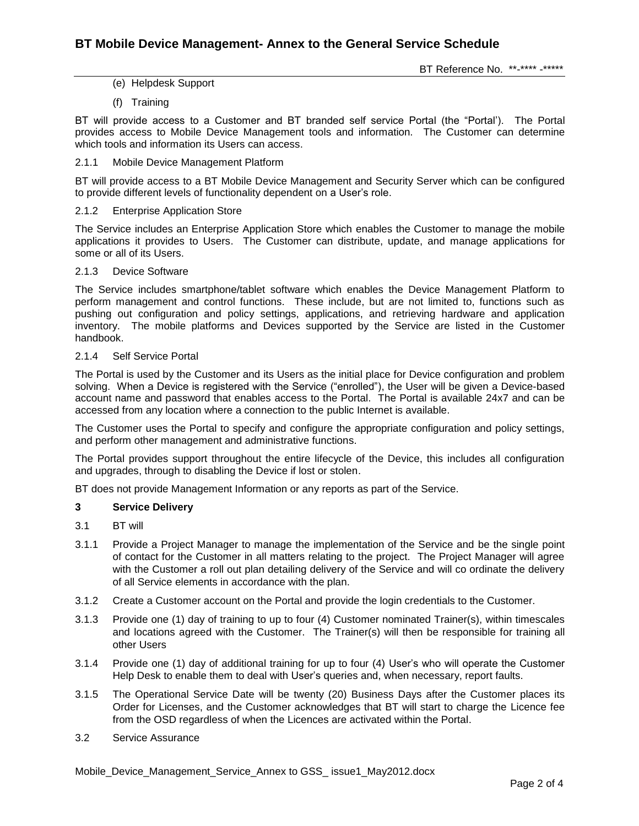(e) Helpdesk Support

(f) Training

BT will provide access to a Customer and BT branded self service Portal (the "Portal'). The Portal provides access to Mobile Device Management tools and information. The Customer can determine which tools and information its Users can access.

#### 2.1.1 Mobile Device Management Platform

BT will provide access to a BT Mobile Device Management and Security Server which can be configured to provide different levels of functionality dependent on a User's role.

#### 2.1.2 Enterprise Application Store

The Service includes an Enterprise Application Store which enables the Customer to manage the mobile applications it provides to Users. The Customer can distribute, update, and manage applications for some or all of its Users.

#### 2.1.3 Device Software

The Service includes smartphone/tablet software which enables the Device Management Platform to perform management and control functions. These include, but are not limited to, functions such as pushing out configuration and policy settings, applications, and retrieving hardware and application inventory. The mobile platforms and Devices supported by the Service are listed in the Customer handbook.

## 2.1.4 Self Service Portal

The Portal is used by the Customer and its Users as the initial place for Device configuration and problem solving. When a Device is registered with the Service ("enrolled"), the User will be given a Device-based account name and password that enables access to the Portal. The Portal is available 24x7 and can be accessed from any location where a connection to the public Internet is available.

The Customer uses the Portal to specify and configure the appropriate configuration and policy settings, and perform other management and administrative functions.

The Portal provides support throughout the entire lifecycle of the Device, this includes all configuration and upgrades, through to disabling the Device if lost or stolen.

BT does not provide Management Information or any reports as part of the Service.

## **3 Service Delivery**

- 3.1 BT will
- 3.1.1 Provide a Project Manager to manage the implementation of the Service and be the single point of contact for the Customer in all matters relating to the project. The Project Manager will agree with the Customer a roll out plan detailing delivery of the Service and will co ordinate the delivery of all Service elements in accordance with the plan.
- 3.1.2 Create a Customer account on the Portal and provide the login credentials to the Customer.
- 3.1.3 Provide one (1) day of training to up to four (4) Customer nominated Trainer(s), within timescales and locations agreed with the Customer. The Trainer(s) will then be responsible for training all other Users
- 3.1.4 Provide one (1) day of additional training for up to four (4) User's who will operate the Customer Help Desk to enable them to deal with User's queries and, when necessary, report faults.
- 3.1.5 The Operational Service Date will be twenty (20) Business Days after the Customer places its Order for Licenses, and the Customer acknowledges that BT will start to charge the Licence fee from the OSD regardless of when the Licences are activated within the Portal.
- 3.2 Service Assurance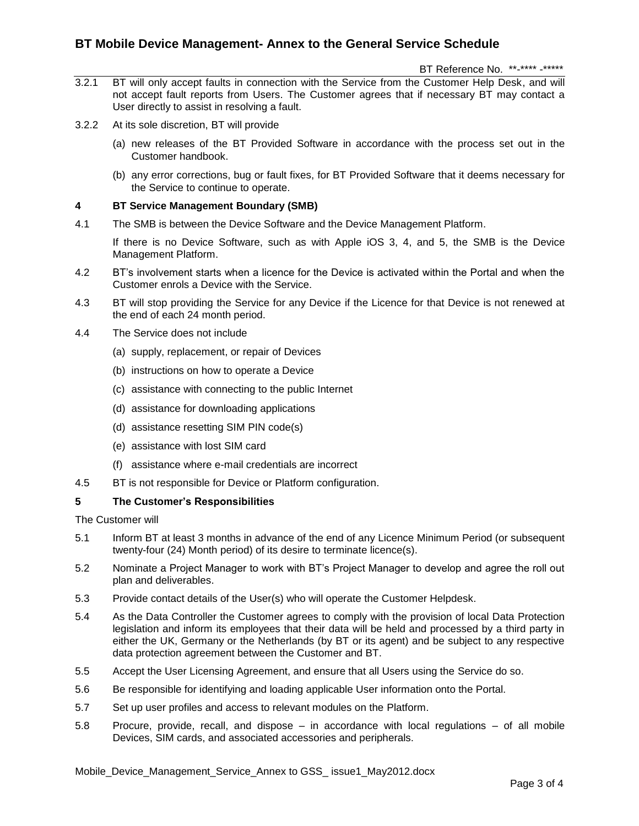# **BT Mobile Device Management- Annex to the General Service Schedule**

BT Reference No. \*\*-\*\*\*\* -\*\*\*\*\*

- 3.2.1 BT will only accept faults in connection with the Service from the Customer Help Desk, and will not accept fault reports from Users. The Customer agrees that if necessary BT may contact a User directly to assist in resolving a fault.
- 3.2.2 At its sole discretion, BT will provide
	- (a) new releases of the BT Provided Software in accordance with the process set out in the Customer handbook.
	- (b) any error corrections, bug or fault fixes, for BT Provided Software that it deems necessary for the Service to continue to operate.

## **4 BT Service Management Boundary (SMB)**

4.1 The SMB is between the Device Software and the Device Management Platform.

If there is no Device Software, such as with Apple iOS 3, 4, and 5, the SMB is the Device Management Platform.

- 4.2 BT's involvement starts when a licence for the Device is activated within the Portal and when the Customer enrols a Device with the Service.
- 4.3 BT will stop providing the Service for any Device if the Licence for that Device is not renewed at the end of each 24 month period.
- 4.4 The Service does not include
	- (a) supply, replacement, or repair of Devices
	- (b) instructions on how to operate a Device
	- (c) assistance with connecting to the public Internet
	- (d) assistance for downloading applications
	- (d) assistance resetting SIM PIN code(s)
	- (e) assistance with lost SIM card
	- (f) assistance where e-mail credentials are incorrect
- 4.5 BT is not responsible for Device or Platform configuration.

## **5 The Customer's Responsibilities**

The Customer will

- 5.1 Inform BT at least 3 months in advance of the end of any Licence Minimum Period (or subsequent twenty-four (24) Month period) of its desire to terminate licence(s).
- 5.2 Nominate a Project Manager to work with BT's Project Manager to develop and agree the roll out plan and deliverables.
- 5.3 Provide contact details of the User(s) who will operate the Customer Helpdesk.
- 5.4 As the Data Controller the Customer agrees to comply with the provision of local Data Protection legislation and inform its employees that their data will be held and processed by a third party in either the UK, Germany or the Netherlands (by BT or its agent) and be subject to any respective data protection agreement between the Customer and BT.
- 5.5 Accept the User Licensing Agreement, and ensure that all Users using the Service do so.
- 5.6 Be responsible for identifying and loading applicable User information onto the Portal.
- 5.7 Set up user profiles and access to relevant modules on the Platform.
- 5.8 Procure, provide, recall, and dispose in accordance with local regulations of all mobile Devices, SIM cards, and associated accessories and peripherals.